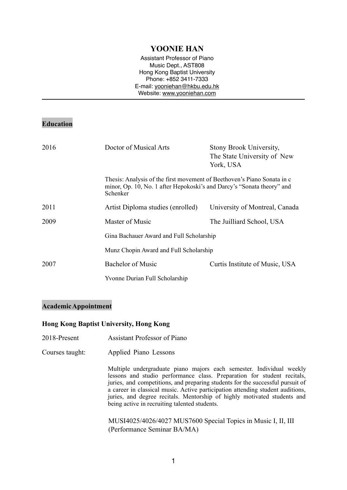## **YOONIE HAN**

Assistant Professor of Piano Music Dept., AST808 Hong Kong Baptist University Phone: +852 3411-7333 E-mail: [yooniehan@hkbu.edu.hk](mailto:yooniehan@hkbu.edu.hk) Website: [www.yooniehan.com](http://www.yooniehan.com)

## **Education**

| 2016 | Doctor of Musical Arts                                                                                                                                        | Stony Brook University,<br>The State University of New<br>York, USA |
|------|---------------------------------------------------------------------------------------------------------------------------------------------------------------|---------------------------------------------------------------------|
|      | Thesis: Analysis of the first movement of Beethoven's Piano Sonata in c<br>minor, Op. 10, No. 1 after Hepokoski's and Darcy's "Sonata theory" and<br>Schenker |                                                                     |
| 2011 | Artist Diploma studies (enrolled)                                                                                                                             | University of Montreal, Canada                                      |
| 2009 | Master of Music                                                                                                                                               | The Juilliard School, USA                                           |
|      | Gina Bachauer Award and Full Scholarship                                                                                                                      |                                                                     |
|      | Munz Chopin Award and Full Scholarship                                                                                                                        |                                                                     |
| 2007 | Bachelor of Music                                                                                                                                             | Curtis Institute of Music, USA                                      |
|      | <b>Yvonne Durian Full Scholarship</b>                                                                                                                         |                                                                     |

## **AcademicAppointment**

## **Hong Kong Baptist University, Hong Kong**

- 2018-Present Assistant Professor of Piano
- Courses taught: Applied Piano Lessons

Multiple undergraduate piano majors each semester. Individual weekly lessons and studio performance class. Preparation for student recitals, juries, and competitions, and preparing students for the successful pursuit of a career in classical music. Active participation attending student auditions, juries, and degree recitals. Mentorship of highly motivated students and being active in recruiting talented students.

 MUSI4025/4026/4027 MUS7600 Special Topics in Music I, II, III (Performance Seminar BA/MA)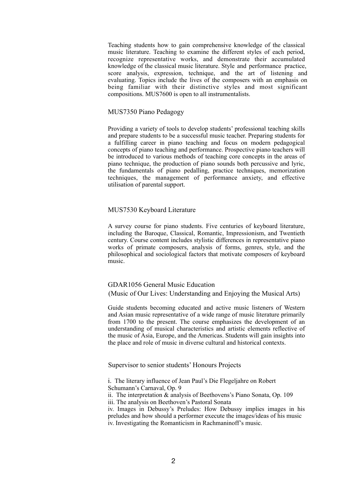Teaching students how to gain comprehensive knowledge of the classical music literature. Teaching to examine the different styles of each period, recognize representative works, and demonstrate their accumulated knowledge of the classical music literature. Style and performance practice, score analysis, expression, technique, and the art of listening and evaluating. Topics include the lives of the composers with an emphasis on being familiar with their distinctive styles and most significant compositions. MUS7600 is open to all instrumentalists.

#### MUS7350 Piano Pedagogy

Providing a variety of tools to develop students' professional teaching skills and prepare students to be a successful music teacher. Preparing students for a fulfilling career in piano teaching and focus on modern pedagogical concepts of piano teaching and performance. Prospective piano teachers will be introduced to various methods of teaching core concepts in the areas of piano technique, the production of piano sounds both percussive and lyric, the fundamentals of piano pedalling, practice techniques, memorization techniques, the management of performance anxiety, and effective utilisation of parental support.

### MUS7530 Keyboard Literature

A survey course for piano students. Five centuries of keyboard literature, including the Baroque, Classical, Romantic, Impressionism, and Twentieth century. Course content includes stylistic differences in representative piano works of primate composers, analysis of forms, genres, style, and the philosophical and sociological factors that motivate composers of keyboard music.

### GDAR1056 General Music Education

(Music of Our Lives: Understanding and Enjoying the Musical Arts)

Guide students becoming educated and active music listeners of Western and Asian music representative of a wide range of music literature primarily from 1700 to the present. The course emphasizes the development of an understanding of musical characteristics and artistic elements reflective of the music of Asia, Europe, and the Americas. Students will gain insights into the place and role of music in diverse cultural and historical contexts.

#### Supervisor to senior students' Honours Projects

i. The literary influence of Jean Paul's Die Flegeljahre on Robert Schumann's Carnaval, Op. 9

ii. The interpretation & analysis of Beethovens's Piano Sonata, Op. 109

iii. The analysis on Beethoven's Pastoral Sonata

iv. Images in Debussy's Preludes: How Debussy implies images in his preludes and how should a performer execute the images/ideas of his music iv. Investigating the Romanticism in Rachmaninoff's music.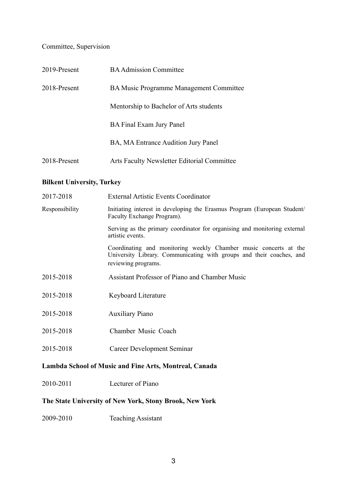# Committee, Supervision

| 2019-Present | <b>BA Admission Committee</b>                  |
|--------------|------------------------------------------------|
| 2018-Present | <b>BA Music Programme Management Committee</b> |
|              | Mentorship to Bachelor of Arts students        |
|              | <b>BA Final Exam Jury Panel</b>                |
|              | BA, MA Entrance Audition Jury Panel            |
| 2018-Present | Arts Faculty Newsletter Editorial Committee    |

# **Bilkent University, Turkey**

| 2017-2018                                              | <b>External Artistic Events Coordinator</b>                                                                                                                     |
|--------------------------------------------------------|-----------------------------------------------------------------------------------------------------------------------------------------------------------------|
| Responsibility                                         | Initiating interest in developing the Erasmus Program (European Student/<br>Faculty Exchange Program).                                                          |
|                                                        | Serving as the primary coordinator for organising and monitoring external<br>artistic events.                                                                   |
|                                                        | Coordinating and monitoring weekly Chamber music concerts at the<br>University Library. Communicating with groups and their coaches, and<br>reviewing programs. |
| 2015-2018                                              | Assistant Professor of Piano and Chamber Music                                                                                                                  |
| 2015-2018                                              | Keyboard Literature                                                                                                                                             |
| 2015-2018                                              | <b>Auxiliary Piano</b>                                                                                                                                          |
| 2015-2018                                              | Chamber Music Coach                                                                                                                                             |
| 2015-2018                                              | Career Development Seminar                                                                                                                                      |
| Lambda School of Music and Fine Arts, Montreal, Canada |                                                                                                                                                                 |

2010-2011 Lecturer of Piano

# **The State University of New York, Stony Brook, New York**

2009-2010 Teaching Assistant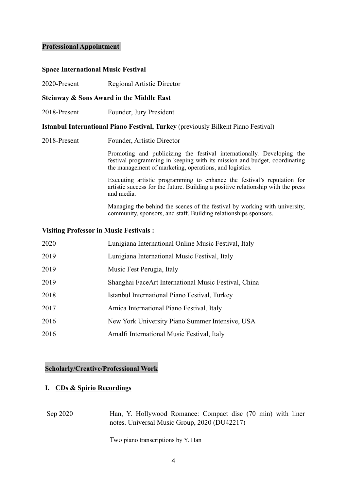## **Professional Appointment**

## **Space International Music Festival**

2020-Present Regional Artistic Director

## **Steinway & Sons Award in the Middle East**

2018-Present Founder, Jury President

### **Istanbul International Piano Festival, Turkey** (previously Bilkent Piano Festival)

2018-Present Founder, Artistic Director

Promoting and publicizing the festival internationally. Developing the festival programming in keeping with its mission and budget, coordinating the management of marketing, operations, and logistics.

Executing artistic programming to enhance the festival's reputation for artistic success for the future. Building a positive relationship with the press and media.

Managing the behind the scenes of the festival by working with university, community, sponsors, and staff. Building relationships sponsors.

#### **Visiting Professor in Music Festivals :**

| 2020 | Lunigiana International Online Music Festival, Italy |
|------|------------------------------------------------------|
| 2019 | Lunigiana International Music Festival, Italy        |
| 2019 | Music Fest Perugia, Italy                            |
| 2019 | Shanghai FaceArt International Music Festival, China |
| 2018 | Istanbul International Piano Festival, Turkey        |
| 2017 | Amica International Piano Festival, Italy            |
| 2016 | New York University Piano Summer Intensive, USA      |
| 2016 | Amalfi International Music Festival, Italy           |

## **Scholarly/Creative/Professional Work**

## **I. CDs & Spirio Recordings**

Sep 2020 Han, Y. Hollywood Romance: Compact disc (70 min) with liner notes. Universal Music Group, 2020 (DU42217)

Two piano transcriptions by Y. Han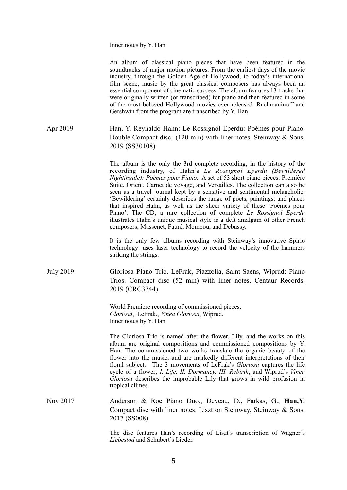#### Inner notes by Y. Han

An album of classical piano pieces that have been featured in the soundtracks of major motion pictures. From the earliest days of the movie industry, through the Golden Age of Hollywood, to today's international film scene, music by the great classical composers has always been an essential component of cinematic success. The album features 13 tracks that were originally written (or transcribed) for piano and then featured in some of the most beloved Hollywood movies ever released. Rachmaninoff and Gershwin from the program are transcribed by Y. Han.

Apr 2019 Han, Y. Reynaldo Hahn: Le Rossignol Eperdu: Poèmes pour Piano. Double Compact disc (120 min) with liner notes. Steinway & Sons, 2019 (SS30108)

> The album is the only the 3rd complete recording, in the history of the recording industry, of Hahn's *Le Rossignol Eperdu (Bewildered Nightingale): Poèmes pour Piano.* A set of 53 short piano pieces: Première Suite, Orient, Carnet de voyage, and Versailles. The collection can also be seen as a travel journal kept by a sensitive and sentimental melancholic. 'Bewildering' certainly describes the range of poets, paintings, and places that inspired Hahn, as well as the sheer variety of these 'Poèmes pour Piano'. The CD, a rare collection of complete *Le Rossignol Eperdu*  illustrates Hahn's unique musical style is a deft amalgam of other French composers; Massenet, Fauré, Mompou, and Debussy.

> It is the only few albums recording with Steinway's innovative Spirio technology: uses laser technology to record the velocity of the hammers striking the strings.

July 2019 Gloriosa Piano Trio. LeFrak, Piazzolla, Saint-Saens, Wiprud: Piano Trios. Compact disc (52 min) with liner notes. Centaur Records, 2019 (CRC3744)

> World Premiere recording of commissioned pieces: *Gloriosa*, LeFrak., *Vinea Gloriosa*, Wiprud. Inner notes by Y. Han

The Gloriosa Trio is named after the flower, Lily, and the works on this album are original compositions and commissioned compositions by Y. Han. The commissioned two works translate the organic beauty of the flower into the music, and are markedly different interpretations of their floral subject. The 3 movements of LeFrak's *Gloriosa* captures the life cycle of a flower; *I. Life, II. Dormancy, III. Rebirth*, and Wiprud's *Vinea Gloriosa* describes the improbable Lily that grows in wild profusion in tropical climes.

Nov 2017 Anderson & Roe Piano Duo., Deveau, D., Farkas, G., **Han,Y.**  Compact disc with liner notes. Liszt on Steinway, Steinway & Sons, 2017 (SS008)

> The disc features Han's recording of Liszt's transcription of Wagner's *Liebestod* and Schubert's Lieder.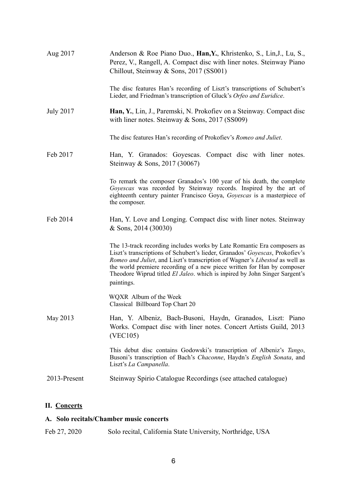| Aug 2017         | Anderson & Roe Piano Duo., Han, Y., Khristenko, S., Lin, J., Lu, S.,<br>Perez, V., Rangell, A. Compact disc with liner notes. Steinway Piano<br>Chillout, Steinway & Sons, 2017 (SS001)                                                                                                                                                                                                                       |
|------------------|---------------------------------------------------------------------------------------------------------------------------------------------------------------------------------------------------------------------------------------------------------------------------------------------------------------------------------------------------------------------------------------------------------------|
|                  | The disc features Han's recording of Liszt's transcriptions of Schubert's<br>Lieder, and Friedman's transcription of Gluck's Orfeo and Euridice.                                                                                                                                                                                                                                                              |
| <b>July 2017</b> | <b>Han, Y.</b> , Lin, J., Paremski, N. Prokofiev on a Steinway. Compact disc<br>with liner notes. Steinway $& Sons, 2017 (SS009)$                                                                                                                                                                                                                                                                             |
|                  | The disc features Han's recording of Prokofiev's Romeo and Juliet.                                                                                                                                                                                                                                                                                                                                            |
| Feb 2017         | Han, Y. Granados: Goyescas. Compact disc with liner notes.<br>Steinway & Sons, 2017 (30067)                                                                                                                                                                                                                                                                                                                   |
|                  | To remark the composer Granados's 100 year of his death, the complete<br>Goyescas was recorded by Steinway records. Inspired by the art of<br>eighteenth century painter Francisco Goya, Goyescas is a masterpiece of<br>the composer.                                                                                                                                                                        |
| Feb 2014         | Han, Y. Love and Longing. Compact disc with liner notes. Steinway<br>& Sons, 2014 (30030)                                                                                                                                                                                                                                                                                                                     |
|                  | The 13-track recording includes works by Late Romantic Era composers as<br>Liszt's transcriptions of Schubert's lieder, Granados' Goyescas, Prokofiev's<br>Romeo and Juliet, and Liszt's transcription of Wagner's Libestod as well as<br>the world premiere recording of a new piece written for Han by composer<br>Theodore Wiprud titled El Jaleo. which is inpired by John Singer Sargent's<br>paintings. |
|                  | WQXR Album of the Week<br>Classical Billboard Top Chart 20                                                                                                                                                                                                                                                                                                                                                    |
| May 2013         | Han, Y. Albeniz, Bach-Busoni, Haydn, Granados, Liszt: Piano<br>Works. Compact disc with liner notes. Concert Artists Guild, 2013<br>(VEC105)                                                                                                                                                                                                                                                                  |
|                  | This debut disc contains Godowski's transcription of Albeniz's Tango,<br>Busoni's transcription of Bach's Chaconne, Haydn's English Sonata, and<br>Liszt's La Campanella.                                                                                                                                                                                                                                     |
| 2013-Present     | Steinway Spirio Catalogue Recordings (see attached catalogue)                                                                                                                                                                                                                                                                                                                                                 |
|                  |                                                                                                                                                                                                                                                                                                                                                                                                               |

# **II. Concerts**

# **A. Solo recitals/Chamber music concerts**

Feb 27, 2020 Solo recital, California State University, Northridge, USA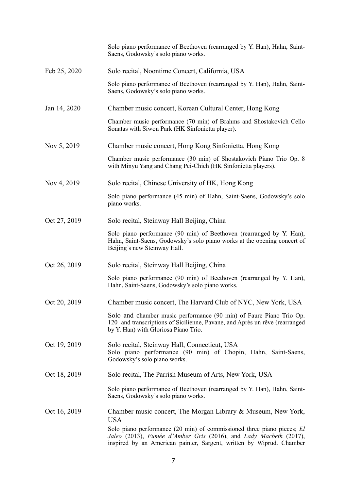|              | Solo piano performance of Beethoven (rearranged by Y. Han), Hahn, Saint-<br>Saens, Godowsky's solo piano works.                                                                                                     |
|--------------|---------------------------------------------------------------------------------------------------------------------------------------------------------------------------------------------------------------------|
| Feb 25, 2020 | Solo recital, Noontime Concert, California, USA                                                                                                                                                                     |
|              | Solo piano performance of Beethoven (rearranged by Y. Han), Hahn, Saint-<br>Saens, Godowsky's solo piano works.                                                                                                     |
| Jan 14, 2020 | Chamber music concert, Korean Cultural Center, Hong Kong                                                                                                                                                            |
|              | Chamber music performance (70 min) of Brahms and Shostakovich Cello<br>Sonatas with Siwon Park (HK Sinfonietta player).                                                                                             |
| Nov 5, 2019  | Chamber music concert, Hong Kong Sinfonietta, Hong Kong                                                                                                                                                             |
|              | Chamber music performance (30 min) of Shostakovich Piano Trio Op. 8<br>with Minyu Yang and Chang Pei-Chieh (HK Sinfonietta players).                                                                                |
| Nov 4, 2019  | Solo recital, Chinese University of HK, Hong Kong                                                                                                                                                                   |
|              | Solo piano performance (45 min) of Hahn, Saint-Saens, Godowsky's solo<br>piano works.                                                                                                                               |
| Oct 27, 2019 | Solo recital, Steinway Hall Beijing, China                                                                                                                                                                          |
|              | Solo piano performance (90 min) of Beethoven (rearranged by Y. Han),<br>Hahn, Saint-Saens, Godowsky's solo piano works at the opening concert of<br>Beijing's new Steinway Hall.                                    |
| Oct 26, 2019 | Solo recital, Steinway Hall Beijing, China                                                                                                                                                                          |
|              | Solo piano performance (90 min) of Beethoven (rearranged by Y. Han),<br>Hahn, Saint-Saens, Godowsky's solo piano works.                                                                                             |
| Oct 20, 2019 | Chamber music concert, The Harvard Club of NYC, New York, USA                                                                                                                                                       |
|              | Solo and chamber music performance (90 min) of Faure Piano Trio Op.<br>120 and transcriptions of Sicilienne, Pavane, and Après un rêve (rearranged<br>by Y. Han) with Gloriosa Piano Trio.                          |
| Oct 19, 2019 | Solo recital, Steinway Hall, Connecticut, USA<br>Solo piano performance (90 min) of Chopin, Hahn, Saint-Saens,<br>Godowsky's solo piano works.                                                                      |
| Oct 18, 2019 | Solo recital, The Parrish Museum of Arts, New York, USA                                                                                                                                                             |
|              | Solo piano performance of Beethoven (rearranged by Y. Han), Hahn, Saint-<br>Saens, Godowsky's solo piano works.                                                                                                     |
| Oct 16, 2019 | Chamber music concert, The Morgan Library & Museum, New York,<br><b>USA</b>                                                                                                                                         |
|              | Solo piano performance (20 min) of commissioned three piano pieces; El<br>Jaleo (2013), Fumée d'Amber Gris (2016), and Lady Macbeth (2017),<br>inspired by an American painter, Sargent, written by Wiprud. Chamber |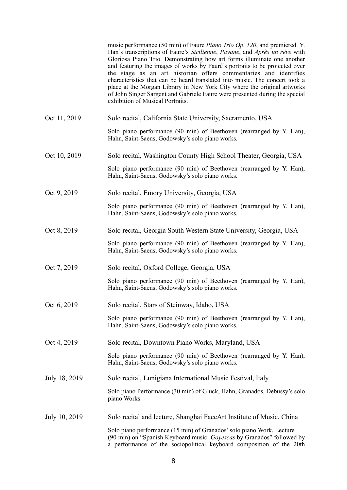music performance (50 min) of Faure *Piano Trio Op. 120*, and premiered Y. Han's transcriptions of Faure's *Sicilienne*, *Pavane*, and *Après un rêve* with Gloriosa Piano Trio. Demonstrating how art forms illuminate one another and featuring the images of works by Fauré's portraits to be projected over the stage as an art historian offers commentaries and identifies characteristics that can be heard translated into music. The concert took a place at the Morgan Library in New York City where the original artworks of John Singer Sargent and Gabriele Faure were presented during the special exhibition of Musical Portraits. Oct 11, 2019 Solo recital, California State University, Sacramento, USA Solo piano performance (90 min) of Beethoven (rearranged by Y. Han), Hahn, Saint-Saens, Godowsky's solo piano works. Oct 10, 2019 Solo recital, Washington County High School Theater, Georgia, USA Solo piano performance (90 min) of Beethoven (rearranged by Y. Han), Hahn, Saint-Saens, Godowsky's solo piano works. Oct 9, 2019 Solo recital, Emory University, Georgia, USA Solo piano performance (90 min) of Beethoven (rearranged by Y. Han), Hahn, Saint-Saens, Godowsky's solo piano works. Oct 8, 2019 Solo recital, Georgia South Western State University, Georgia, USA Solo piano performance (90 min) of Beethoven (rearranged by Y. Han), Hahn, Saint-Saens, Godowsky's solo piano works. Oct 7, 2019 Solo recital, Oxford College, Georgia, USA Solo piano performance (90 min) of Beethoven (rearranged by Y. Han), Hahn, Saint-Saens, Godowsky's solo piano works. Oct 6, 2019 Solo recital, Stars of Steinway, Idaho, USA Solo piano performance (90 min) of Beethoven (rearranged by Y. Han), Hahn, Saint-Saens, Godowsky's solo piano works. Oct 4, 2019 Solo recital, Downtown Piano Works, Maryland, USA Solo piano performance (90 min) of Beethoven (rearranged by Y. Han), Hahn, Saint-Saens, Godowsky's solo piano works. July 18, 2019 Solo recital, Lunigiana International Music Festival, Italy Solo piano Performance (30 min) of Gluck, Hahn, Granados, Debussy's solo piano Works July 10, 2019 Solo recital and lecture, Shanghai FaceArt Institute of Music, China Solo piano performance (15 min) of Granados' solo piano Work. Lecture (90 min) on "Spanish Keyboard music: *Goyescas* by Granados" followed by a performance of the sociopolitical keyboard composition of the 20th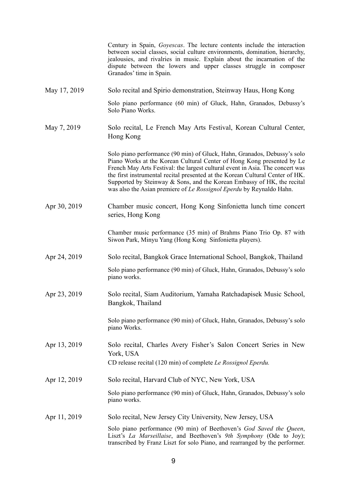|              | Century in Spain, Goyescas. The lecture contents include the interaction<br>between social classes, social culture environments, domination, hierarchy,<br>jealousies, and rivalries in music. Explain about the incarnation of the<br>dispute between the lowers and upper classes struggle in composer<br>Granados' time in Spain.                                                                                                                                    |
|--------------|-------------------------------------------------------------------------------------------------------------------------------------------------------------------------------------------------------------------------------------------------------------------------------------------------------------------------------------------------------------------------------------------------------------------------------------------------------------------------|
| May 17, 2019 | Solo recital and Spirio demonstration, Steinway Haus, Hong Kong                                                                                                                                                                                                                                                                                                                                                                                                         |
|              | Solo piano performance (60 min) of Gluck, Hahn, Granados, Debussy's<br>Solo Piano Works.                                                                                                                                                                                                                                                                                                                                                                                |
| May 7, 2019  | Solo recital, Le French May Arts Festival, Korean Cultural Center,<br>Hong Kong                                                                                                                                                                                                                                                                                                                                                                                         |
|              | Solo piano performance (90 min) of Gluck, Hahn, Granados, Debussy's solo<br>Piano Works at the Korean Cultural Center of Hong Kong presented by Le<br>French May Arts Festival: the largest cultural event in Asia. The concert was<br>the first instrumental recital presented at the Korean Cultural Center of HK.<br>Supported by Steinway & Sons, and the Korean Embassy of HK, the recital<br>was also the Asian premiere of Le Rossignol Eperdu by Reynaldo Hahn. |
| Apr 30, 2019 | Chamber music concert, Hong Kong Sinfonietta lunch time concert<br>series, Hong Kong                                                                                                                                                                                                                                                                                                                                                                                    |
|              | Chamber music performance (35 min) of Brahms Piano Trio Op. 87 with<br>Siwon Park, Minyu Yang (Hong Kong Sinfonietta players).                                                                                                                                                                                                                                                                                                                                          |
| Apr 24, 2019 | Solo recital, Bangkok Grace International School, Bangkok, Thailand                                                                                                                                                                                                                                                                                                                                                                                                     |
|              | Solo piano performance (90 min) of Gluck, Hahn, Granados, Debussy's solo<br>piano works.                                                                                                                                                                                                                                                                                                                                                                                |
| Apr 23, 2019 | Solo recital, Siam Auditorium, Yamaha Ratchadapisek Music School,<br>Bangkok, Thailand                                                                                                                                                                                                                                                                                                                                                                                  |
|              | Solo piano performance (90 min) of Gluck, Hahn, Granados, Debussy's solo<br>piano Works.                                                                                                                                                                                                                                                                                                                                                                                |
| Apr 13, 2019 | Solo recital, Charles Avery Fisher's Salon Concert Series in New<br>York, USA<br>CD release recital (120 min) of complete Le Rossignol Eperdu.                                                                                                                                                                                                                                                                                                                          |
| Apr 12, 2019 | Solo recital, Harvard Club of NYC, New York, USA                                                                                                                                                                                                                                                                                                                                                                                                                        |
|              | Solo piano performance (90 min) of Gluck, Hahn, Granados, Debussy's solo<br>piano works.                                                                                                                                                                                                                                                                                                                                                                                |
| Apr 11, 2019 | Solo recital, New Jersey City University, New Jersey, USA                                                                                                                                                                                                                                                                                                                                                                                                               |
|              | Solo piano performance (90 min) of Beethoven's God Saved the Queen,<br>Liszt's La Marseillaise, and Beethoven's 9th Symphony (Ode to Joy);<br>transcribed by Franz Liszt for solo Piano, and rearranged by the performer.                                                                                                                                                                                                                                               |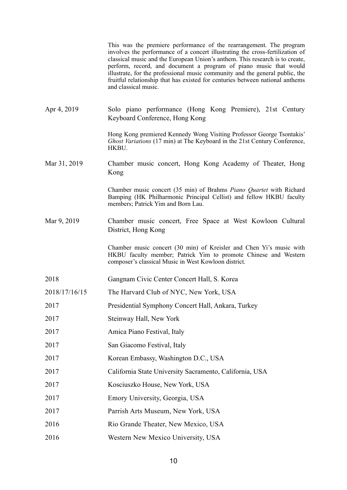This was the premiere performance of the rearrangement. The program involves the performance of a concert illustrating the cross-fertilization of classical music and the European Union's anthem. This research is to create, perform, record, and document a program of piano music that would illustrate, for the professional music community and the general public, the fruitful relationship that has existed for centuries between national anthems and classical music.

Apr 4, 2019 Solo piano performance (Hong Kong Premiere), 21st Century Keyboard Conference, Hong Kong

> Hong Kong premiered Kennedy Wong Visiting Professor George Tsontakis' *Ghost Variations* (17 min) at The Keyboard in the 21st Century Conference, HKBU.

Mar 31, 2019 Chamber music concert, Hong Kong Academy of Theater, Hong Kong

> Chamber music concert (35 min) of Brahms *Piano Quartet* with Richard Bamping (HK Philharmonic Principal Cellist) and fellow HKBU faculty members; Patrick Yim and Born Lau.

Mar 9, 2019 Chamber music concert, Free Space at West Kowloon Cultural District, Hong Kong

> Chamber music concert (30 min) of Kreisler and Chen Yi's music with HKBU faculty member; Patrick Yim to promote Chinese and Western composer's classical Music in West Kowloon district.

- 2018 Gangnam Civic Center Concert Hall, S. Korea
- 2018/17/16/15 The Harvard Club of NYC, New York, USA
- 2017 Presidential Symphony Concert Hall, Ankara, Turkey
- 2017 Steinway Hall, New York
- 2017 Amica Piano Festival, Italy
- 2017 San Giacomo Festival, Italy
- 2017 Korean Embassy, Washington D.C., USA
- 2017 California State University Sacramento, California, USA
- 2017 Kosciuszko House, New York, USA
- 2017 Emory University, Georgia, USA
- 2017 Parrish Arts Museum, New York, USA
- 2016 Rio Grande Theater, New Mexico, USA
- 2016 Western New Mexico University, USA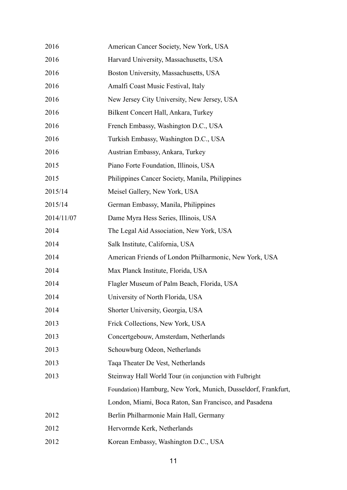| 2016       | American Cancer Society, New York, USA                        |
|------------|---------------------------------------------------------------|
| 2016       | Harvard University, Massachusetts, USA                        |
| 2016       | Boston University, Massachusetts, USA                         |
| 2016       | Amalfi Coast Music Festival, Italy                            |
| 2016       | New Jersey City University, New Jersey, USA                   |
| 2016       | Bilkent Concert Hall, Ankara, Turkey                          |
| 2016       | French Embassy, Washington D.C., USA                          |
| 2016       | Turkish Embassy, Washington D.C., USA                         |
| 2016       | Austrian Embassy, Ankara, Turkey                              |
| 2015       | Piano Forte Foundation, Illinois, USA                         |
| 2015       | Philippines Cancer Society, Manila, Philippines               |
| 2015/14    | Meisel Gallery, New York, USA                                 |
| 2015/14    | German Embassy, Manila, Philippines                           |
| 2014/11/07 | Dame Myra Hess Series, Illinois, USA                          |
| 2014       | The Legal Aid Association, New York, USA                      |
| 2014       | Salk Institute, California, USA                               |
| 2014       | American Friends of London Philharmonic, New York, USA        |
| 2014       | Max Planck Institute, Florida, USA                            |
| 2014       | Flagler Museum of Palm Beach, Florida, USA                    |
| 2014       | University of North Florida, USA                              |
| 2014       | Shorter University, Georgia, USA                              |
| 2013       | Frick Collections, New York, USA                              |
| 2013       | Concertgebouw, Amsterdam, Netherlands                         |
| 2013       | Schouwburg Odeon, Netherlands                                 |
| 2013       | Taqa Theater De Vest, Netherlands                             |
| 2013       | Steinway Hall World Tour (in conjunction with Fulbright       |
|            | Foundation) Hamburg, New York, Munich, Dusseldorf, Frankfurt, |
|            | London, Miami, Boca Raton, San Francisco, and Pasadena        |
| 2012       | Berlin Philharmonie Main Hall, Germany                        |
| 2012       | Hervormde Kerk, Netherlands                                   |
| 2012       | Korean Embassy, Washington D.C., USA                          |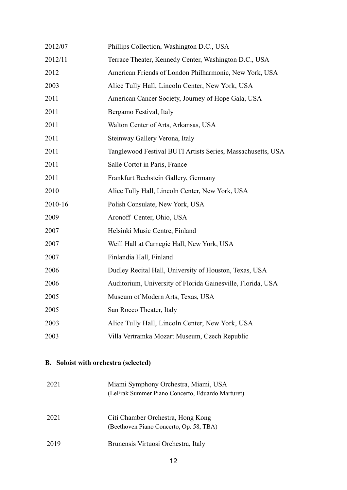| 2012/07 | Phillips Collection, Washington D.C., USA                   |
|---------|-------------------------------------------------------------|
| 2012/11 | Terrace Theater, Kennedy Center, Washington D.C., USA       |
| 2012    | American Friends of London Philharmonic, New York, USA      |
| 2003    | Alice Tully Hall, Lincoln Center, New York, USA             |
| 2011    | American Cancer Society, Journey of Hope Gala, USA          |
| 2011    | Bergamo Festival, Italy                                     |
| 2011    | Walton Center of Arts, Arkansas, USA                        |
| 2011    | Steinway Gallery Verona, Italy                              |
| 2011    | Tanglewood Festival BUTI Artists Series, Massachusetts, USA |
| 2011    | Salle Cortot in Paris, France                               |
| 2011    | Frankfurt Bechstein Gallery, Germany                        |
| 2010    | Alice Tully Hall, Lincoln Center, New York, USA             |
| 2010-16 | Polish Consulate, New York, USA                             |
| 2009    | Aronoff Center, Ohio, USA                                   |
| 2007    | Helsinki Music Centre, Finland                              |
| 2007    | Weill Hall at Carnegie Hall, New York, USA                  |
| 2007    | Finlandia Hall, Finland                                     |
| 2006    | Dudley Recital Hall, University of Houston, Texas, USA      |
| 2006    | Auditorium, University of Florida Gainesville, Florida, USA |
| 2005    | Museum of Modern Arts, Texas, USA                           |
| 2005    | San Rocco Theater, Italy                                    |
| 2003    | Alice Tully Hall, Lincoln Center, New York, USA             |
| 2003    | Villa Vertramka Mozart Museum, Czech Republic               |

# **B. Soloist with orchestra (selected)**

| 2021 | Miami Symphony Orchestra, Miami, USA<br>(LeFrak Summer Piano Concerto, Eduardo Marturet) |
|------|------------------------------------------------------------------------------------------|
| 2021 | Citi Chamber Orchestra, Hong Kong<br>(Beethoven Piano Concerto, Op. 58, TBA)             |
| 2019 | Brunensis Virtuosi Orchestra, Italy                                                      |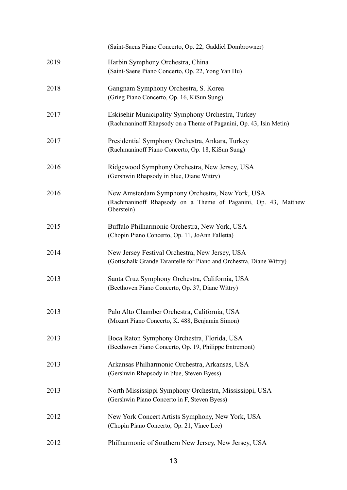|      | (Saint-Saens Piano Concerto, Op. 22, Gaddiel Dombrowner)                                                                        |
|------|---------------------------------------------------------------------------------------------------------------------------------|
| 2019 | Harbin Symphony Orchestra, China<br>(Saint-Saens Piano Concerto, Op. 22, Yong Yan Hu)                                           |
| 2018 | Gangnam Symphony Orchestra, S. Korea<br>(Grieg Piano Concerto, Op. 16, KiSun Sung)                                              |
| 2017 | Eskisehir Municipality Symphony Orchestra, Turkey<br>(Rachmaninoff Rhapsody on a Theme of Paganini, Op. 43, Isin Metin)         |
| 2017 | Presidential Symphony Orchestra, Ankara, Turkey<br>(Rachmaninoff Piano Concerto, Op. 18, KiSun Sung)                            |
| 2016 | Ridgewood Symphony Orchestra, New Jersey, USA<br>(Gershwin Rhapsody in blue, Diane Wittry)                                      |
| 2016 | New Amsterdam Symphony Orchestra, New York, USA<br>(Rachmaninoff Rhapsody on a Theme of Paganini, Op. 43, Matthew<br>Oberstein) |
| 2015 | Buffalo Philharmonic Orchestra, New York, USA<br>(Chopin Piano Concerto, Op. 11, JoAnn Falletta)                                |
| 2014 | New Jersey Festival Orchestra, New Jersey, USA<br>(Gottschalk Grande Tarantelle for Piano and Orchestra, Diane Wittry)          |
| 2013 | Santa Cruz Symphony Orchestra, California, USA<br>(Beethoven Piano Concerto, Op. 37, Diane Wittry)                              |
| 2013 | Palo Alto Chamber Orchestra, California, USA<br>(Mozart Piano Concerto, K. 488, Benjamin Simon)                                 |
| 2013 | Boca Raton Symphony Orchestra, Florida, USA<br>(Beethoven Piano Concerto, Op. 19, Philippe Entremont)                           |
| 2013 | Arkansas Philharmonic Orchestra, Arkansas, USA<br>(Gershwin Rhapsody in blue, Steven Byess)                                     |
| 2013 | North Mississippi Symphony Orchestra, Mississippi, USA<br>(Gershwin Piano Concerto in F, Steven Byess)                          |
| 2012 | New York Concert Artists Symphony, New York, USA<br>(Chopin Piano Concerto, Op. 21, Vince Lee)                                  |
| 2012 | Philharmonic of Southern New Jersey, New Jersey, USA                                                                            |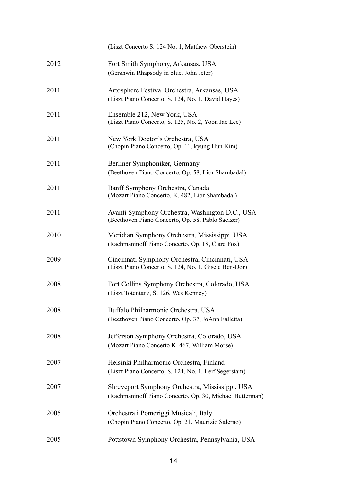|      | (Liszt Concerto S. 124 No. 1, Matthew Oberstein)                                                            |
|------|-------------------------------------------------------------------------------------------------------------|
| 2012 | Fort Smith Symphony, Arkansas, USA<br>(Gershwin Rhapsody in blue, John Jeter)                               |
| 2011 | Artosphere Festival Orchestra, Arkansas, USA<br>(Liszt Piano Concerto, S. 124, No. 1, David Hayes)          |
| 2011 | Ensemble 212, New York, USA<br>(Liszt Piano Concerto, S. 125, No. 2, Yoon Jae Lee)                          |
| 2011 | New York Doctor's Orchestra, USA<br>(Chopin Piano Concerto, Op. 11, kyung Hun Kim)                          |
| 2011 | Berliner Symphoniker, Germany<br>(Beethoven Piano Concerto, Op. 58, Lior Shambadal)                         |
| 2011 | Banff Symphony Orchestra, Canada<br>(Mozart Piano Concerto, K. 482, Lior Shambadal)                         |
| 2011 | Avanti Symphony Orchestra, Washington D.C., USA<br>(Beethoven Piano Concerto, Op. 58, Pablo Saelzer)        |
| 2010 | Meridian Symphony Orchestra, Mississippi, USA<br>(Rachmaninoff Piano Concerto, Op. 18, Clare Fox)           |
| 2009 | Cincinnati Symphony Orchestra, Cincinnati, USA<br>(Liszt Piano Concerto, S. 124, No. 1, Gisele Ben-Dor)     |
| 2008 | Fort Collins Symphony Orchestra, Colorado, USA<br>(Liszt Totentanz, S. 126, Wes Kenney)                     |
| 2008 | Buffalo Philharmonic Orchestra, USA<br>(Beethoven Piano Concerto, Op. 37, JoAnn Falletta)                   |
| 2008 | Jefferson Symphony Orchestra, Colorado, USA<br>(Mozart Piano Concerto K. 467, William Morse)                |
| 2007 | Helsinki Philharmonic Orchestra, Finland<br>(Liszt Piano Concerto, S. 124, No. 1. Leif Segerstam)           |
| 2007 | Shreveport Symphony Orchestra, Mississippi, USA<br>(Rachmaninoff Piano Concerto, Op. 30, Michael Butterman) |
| 2005 | Orchestra i Pomeriggi Musicali, Italy<br>(Chopin Piano Concerto, Op. 21, Maurizio Salerno)                  |
| 2005 | Pottstown Symphony Orchestra, Pennsylvania, USA                                                             |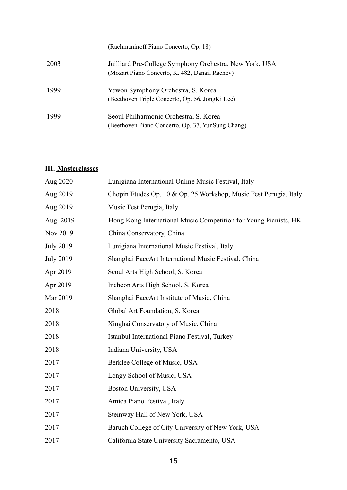|      | (Rachmaninoff Piano Concerto, Op. 18)                                                                     |
|------|-----------------------------------------------------------------------------------------------------------|
| 2003 | Juilliard Pre-College Symphony Orchestra, New York, USA<br>(Mozart Piano Concerto, K. 482, Danail Rachev) |
| 1999 | Yewon Symphony Orchestra, S. Korea<br>(Beethoven Triple Concerto, Op. 56, JongKi Lee)                     |
| 1999 | Seoul Philharmonic Orchestra, S. Korea<br>(Beethoven Piano Concerto, Op. 37, YunSung Chang)               |

# **III. Masterclasses**

| Lunigiana International Online Music Festival, Italy              |  |  |
|-------------------------------------------------------------------|--|--|
| Chopin Etudes Op. 10 & Op. 25 Workshop, Music Fest Perugia, Italy |  |  |
| Music Fest Perugia, Italy                                         |  |  |
| Hong Kong International Music Competition for Young Pianists, HK  |  |  |
| China Conservatory, China                                         |  |  |
| Lunigiana International Music Festival, Italy                     |  |  |
| Shanghai FaceArt International Music Festival, China              |  |  |
| Seoul Arts High School, S. Korea                                  |  |  |
| Incheon Arts High School, S. Korea                                |  |  |
| Shanghai FaceArt Institute of Music, China                        |  |  |
| Global Art Foundation, S. Korea                                   |  |  |
| Xinghai Conservatory of Music, China                              |  |  |
| Istanbul International Piano Festival, Turkey                     |  |  |
| Indiana University, USA                                           |  |  |
| Berklee College of Music, USA                                     |  |  |
| Longy School of Music, USA                                        |  |  |
| Boston University, USA                                            |  |  |
| Amica Piano Festival, Italy                                       |  |  |
| Steinway Hall of New York, USA                                    |  |  |
| Baruch College of City University of New York, USA                |  |  |
| California State University Sacramento, USA                       |  |  |
|                                                                   |  |  |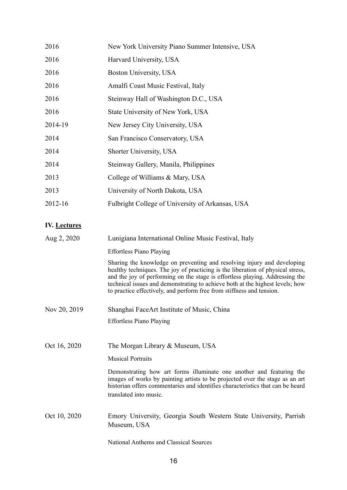| 2016                | New York University Piano Summer Intensive, USA                                                                                                                                                                                                                                                                                                                                                      |  |
|---------------------|------------------------------------------------------------------------------------------------------------------------------------------------------------------------------------------------------------------------------------------------------------------------------------------------------------------------------------------------------------------------------------------------------|--|
| 2016                | Harvard University, USA                                                                                                                                                                                                                                                                                                                                                                              |  |
| 2016                | Boston University, USA                                                                                                                                                                                                                                                                                                                                                                               |  |
| 2016                | Amalfi Coast Music Festival, Italy                                                                                                                                                                                                                                                                                                                                                                   |  |
| 2016                | Steinway Hall of Washington D.C., USA                                                                                                                                                                                                                                                                                                                                                                |  |
| 2016                | State University of New York, USA                                                                                                                                                                                                                                                                                                                                                                    |  |
| 2014-19             | New Jersey City University, USA                                                                                                                                                                                                                                                                                                                                                                      |  |
| 2014                | San Francisco Conservatory, USA                                                                                                                                                                                                                                                                                                                                                                      |  |
| 2014                | Shorter University, USA                                                                                                                                                                                                                                                                                                                                                                              |  |
| 2014                | Steinway Gallery, Manila, Philippines                                                                                                                                                                                                                                                                                                                                                                |  |
| 2013                | College of Williams & Mary, USA                                                                                                                                                                                                                                                                                                                                                                      |  |
| 2013                | University of North Dakota, USA                                                                                                                                                                                                                                                                                                                                                                      |  |
| 2012-16             | Fulbright College of University of Arkansas, USA                                                                                                                                                                                                                                                                                                                                                     |  |
| IV. <u>Lectures</u> |                                                                                                                                                                                                                                                                                                                                                                                                      |  |
| Aug 2, 2020         | Lunigiana International Online Music Festival, Italy                                                                                                                                                                                                                                                                                                                                                 |  |
|                     | <b>Effortless Piano Playing</b>                                                                                                                                                                                                                                                                                                                                                                      |  |
|                     | Sharing the knowledge on preventing and resolving injury and developing<br>healthy techniques. The joy of practicing is the liberation of physical stress,<br>and the joy of performing on the stage is effortless playing. Addressing the<br>technical issues and demonstrating to achieve both at the highest levels; how<br>to practice effectively, and perform free from stiffness and tension. |  |
| Nov 20, 2019        | Shanghai FaceArt Institute of Music, China                                                                                                                                                                                                                                                                                                                                                           |  |
|                     | <b>Effortless Piano Playing</b>                                                                                                                                                                                                                                                                                                                                                                      |  |
| Oct 16, 2020        | The Morgan Library & Museum, USA                                                                                                                                                                                                                                                                                                                                                                     |  |
|                     | <b>Musical Portraits</b>                                                                                                                                                                                                                                                                                                                                                                             |  |
|                     | Demonstrating how art forms illuminate one another and featuring the<br>images of works by painting artists to be projected over the stage as an art<br>historian offers commentaries and identifies characteristics that can be heard<br>translated into music.                                                                                                                                     |  |
| Oct 10, 2020        | Emory University, Georgia South Western State University, Parrish<br>Museum, USA                                                                                                                                                                                                                                                                                                                     |  |
|                     | National Anthems and Classical Sources                                                                                                                                                                                                                                                                                                                                                               |  |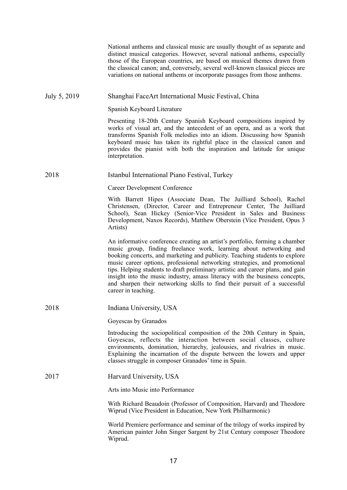|              | National anthems and classical music are usually thought of as separate and<br>distinct musical categories. However, several national anthems, especially<br>those of the European countries, are based on musical themes drawn from<br>the classical canon; and, conversely, several well-known classical pieces are<br>variations on national anthems or incorporate passages from those anthems.                                                                                                                                                                                 |
|--------------|-------------------------------------------------------------------------------------------------------------------------------------------------------------------------------------------------------------------------------------------------------------------------------------------------------------------------------------------------------------------------------------------------------------------------------------------------------------------------------------------------------------------------------------------------------------------------------------|
| July 5, 2019 | Shanghai FaceArt International Music Festival, China                                                                                                                                                                                                                                                                                                                                                                                                                                                                                                                                |
|              | Spanish Keyboard Literature                                                                                                                                                                                                                                                                                                                                                                                                                                                                                                                                                         |
|              | Presenting 18-20th Century Spanish Keyboard compositions inspired by<br>works of visual art, and the antecedent of an opera, and as a work that<br>transforms Spanish Folk melodies into an idiom. Discussing how Spanish<br>keyboard music has taken its rightful place in the classical canon and<br>provides the pianist with both the inspiration and latitude for unique<br>interpretation.                                                                                                                                                                                    |
| 2018         | Istanbul International Piano Festival, Turkey                                                                                                                                                                                                                                                                                                                                                                                                                                                                                                                                       |
|              | Career Development Conference                                                                                                                                                                                                                                                                                                                                                                                                                                                                                                                                                       |
|              | With Barrett Hipes (Associate Dean, The Juilliard School), Rachel<br>Christensen, (Director, Career and Entrepreneur Center, The Juilliard<br>School), Sean Hickey (Senior-Vice President in Sales and Business<br>Development, Naxos Records), Matthew Oberstein (Vice President, Opus 3<br>Artists)                                                                                                                                                                                                                                                                               |
|              | An informative conference creating an artist's portfolio, forming a chamber<br>music group, finding freelance work, learning about networking and<br>booking concerts, and marketing and publicity. Teaching students to explore<br>music career options, professional networking strategies, and promotional<br>tips. Helping students to draft preliminary artistic and career plans, and gain<br>insight into the music industry, amass literacy with the business concepts,<br>and sharpen their networking skills to find their pursuit of a successful<br>career in teaching. |
| 2018         | Indiana University, USA                                                                                                                                                                                                                                                                                                                                                                                                                                                                                                                                                             |
|              | Goyescas by Granados                                                                                                                                                                                                                                                                                                                                                                                                                                                                                                                                                                |
|              | Introducing the sociopolitical composition of the 20th Century in Spain,<br>Goyescas, reflects the interaction between social classes, culture<br>environments, domination, hierarchy, jealousies, and rivalries in music.<br>Explaining the incarnation of the dispute between the lowers and upper<br>classes struggle in composer Granados' time in Spain.                                                                                                                                                                                                                       |
| 2017         | Harvard University, USA                                                                                                                                                                                                                                                                                                                                                                                                                                                                                                                                                             |
|              | Arts into Music into Performance                                                                                                                                                                                                                                                                                                                                                                                                                                                                                                                                                    |
|              | With Richard Beaudoin (Professor of Composition, Harvard) and Theodore<br>Wiprud (Vice President in Education, New York Philharmonic)                                                                                                                                                                                                                                                                                                                                                                                                                                               |
|              | World Premiere performance and seminar of the trilogy of works inspired by<br>American painter John Singer Sargent by 21st Century composer Theodore<br>Wiprud.                                                                                                                                                                                                                                                                                                                                                                                                                     |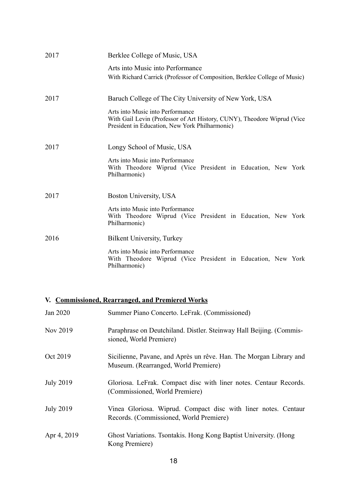| 2017 | Berklee College of Music, USA                                                                                                                                                                                           |  |  |
|------|-------------------------------------------------------------------------------------------------------------------------------------------------------------------------------------------------------------------------|--|--|
|      | Arts into Music into Performance<br>With Richard Carrick (Professor of Composition, Berklee College of Music)                                                                                                           |  |  |
| 2017 | Baruch College of The City University of New York, USA<br>Arts into Music into Performance<br>With Gail Levin (Professor of Art History, CUNY), Theodore Wiprud (Vice<br>President in Education, New York Philharmonic) |  |  |
|      |                                                                                                                                                                                                                         |  |  |
| 2017 | Longy School of Music, USA                                                                                                                                                                                              |  |  |
|      | Arts into Music into Performance<br>With Theodore Wiprud (Vice President in Education, New York<br>Philharmonic)                                                                                                        |  |  |
| 2017 | Boston University, USA                                                                                                                                                                                                  |  |  |
|      | Arts into Music into Performance<br>With Theodore Wiprud (Vice President in Education, New York<br>Philharmonic)                                                                                                        |  |  |
| 2016 | <b>Bilkent University, Turkey</b>                                                                                                                                                                                       |  |  |
|      | Arts into Music into Performance<br>With Theodore Wiprud (Vice President in Education, New York<br>Philharmonic)                                                                                                        |  |  |

# **V. Commissioned, Rearranged, and Premiered Works**

| Jan 2020         | Summer Piano Concerto. LeFrak. (Commissioned)                                                              |  |
|------------------|------------------------------------------------------------------------------------------------------------|--|
| Nov 2019         | Paraphrase on Deutchiland. Distler. Steinway Hall Beijing. (Commis-<br>sioned, World Premiere)             |  |
| Oct 2019         | Sicilienne, Pavane, and Après un rêve. Han. The Morgan Library and<br>Museum. (Rearranged, World Premiere) |  |
| <b>July 2019</b> | Gloriosa. LeFrak. Compact disc with liner notes. Centaur Records.<br>(Commissioned, World Premiere)        |  |
| <b>July 2019</b> | Vinea Gloriosa. Wiprud. Compact disc with liner notes. Centaur<br>Records. (Commissioned, World Premiere)  |  |
| Apr 4, 2019      | Ghost Variations. Tsontakis. Hong Kong Baptist University. (Hong<br>Kong Premiere)                         |  |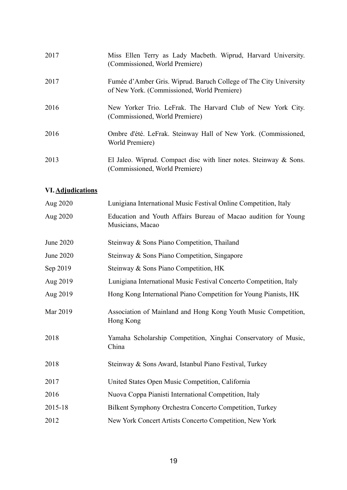| 2017 | Miss Ellen Terry as Lady Macbeth. Wiprud, Harvard University.<br>(Commissioned, World Premiere)                  |
|------|------------------------------------------------------------------------------------------------------------------|
| 2017 | Fumée d'Amber Gris. Wiprud. Baruch College of The City University<br>of New York. (Commissioned, World Premiere) |
| 2016 | New Yorker Trio. LeFrak. The Harvard Club of New York City.<br>(Commissioned, World Premiere)                    |
| 2016 | Ombre d'été. LeFrak. Steinway Hall of New York. (Commissioned,<br>World Premiere)                                |
| 2013 | El Jaleo. Wiprud. Compact disc with liner notes. Steinway $\&$ Sons.<br>(Commissioned, World Premiere)           |

# **VI.Adjudications**

| Aug 2020  | Lunigiana International Music Festival Online Competition, Italy                   |  |
|-----------|------------------------------------------------------------------------------------|--|
| Aug 2020  | Education and Youth Affairs Bureau of Macao audition for Young<br>Musicians, Macao |  |
| June 2020 | Steinway & Sons Piano Competition, Thailand                                        |  |
| June 2020 | Steinway & Sons Piano Competition, Singapore                                       |  |
| Sep 2019  | Steinway & Sons Piano Competition, HK                                              |  |
| Aug 2019  | Lunigiana International Music Festival Concerto Competition, Italy                 |  |
| Aug 2019  | Hong Kong International Piano Competition for Young Pianists, HK                   |  |
| Mar 2019  | Association of Mainland and Hong Kong Youth Music Competition,<br>Hong Kong        |  |
| 2018      | Yamaha Scholarship Competition, Xinghai Conservatory of Music,<br>China            |  |
| 2018      | Steinway & Sons Award, Istanbul Piano Festival, Turkey                             |  |
| 2017      | United States Open Music Competition, California                                   |  |
| 2016      | Nuova Coppa Pianisti International Competition, Italy                              |  |
| 2015-18   | Bilkent Symphony Orchestra Concerto Competition, Turkey                            |  |
| 2012      | New York Concert Artists Concerto Competition, New York                            |  |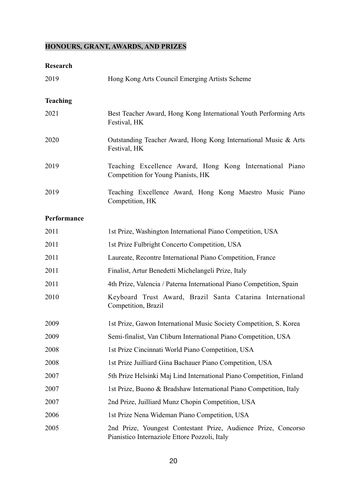# **HONOURS, GRANT, AWARDS, AND PRIZES**

| 2019            | Hong Kong Arts Council Emerging Artists Scheme                                                                  |  |  |
|-----------------|-----------------------------------------------------------------------------------------------------------------|--|--|
| <b>Teaching</b> |                                                                                                                 |  |  |
| 2021            | Best Teacher Award, Hong Kong International Youth Performing Arts<br>Festival, HK                               |  |  |
| 2020            | Outstanding Teacher Award, Hong Kong International Music & Arts<br>Festival, HK                                 |  |  |
| 2019            | Teaching Excellence Award, Hong Kong International Piano<br>Competition for Young Pianists, HK                  |  |  |
| 2019            | Teaching Excellence Award, Hong Kong Maestro Music Piano<br>Competition, HK                                     |  |  |
| Performance     |                                                                                                                 |  |  |
| 2011            | 1st Prize, Washington International Piano Competition, USA                                                      |  |  |
| 2011            | 1st Prize Fulbright Concerto Competition, USA                                                                   |  |  |
| 2011            | Laureate, Recontre International Piano Competition, France                                                      |  |  |
| 2011            | Finalist, Artur Benedetti Michelangeli Prize, Italy                                                             |  |  |
| 2011            | 4th Prize, Valencia / Paterna International Piano Competition, Spain                                            |  |  |
| 2010            | Keyboard Trust Award, Brazil Santa Catarina International<br>Competition, Brazil                                |  |  |
| 2009            | 1st Prize, Gawon International Music Society Competition, S. Korea                                              |  |  |
| 2009            | Semi-finalist, Van Cliburn International Piano Competition, USA                                                 |  |  |
| 2008            | 1st Prize Cincinnati World Piano Competition, USA                                                               |  |  |
| 2008            | 1st Prize Juilliard Gina Bachauer Piano Competition, USA                                                        |  |  |
| 2007            | 5th Prize Helsinki Maj Lind International Piano Competition, Finland                                            |  |  |
| 2007            | 1st Prize, Buono & Bradshaw International Piano Competition, Italy                                              |  |  |
| 2007            | 2nd Prize, Juilliard Munz Chopin Competition, USA                                                               |  |  |
| 2006            | 1st Prize Nena Wideman Piano Competition, USA                                                                   |  |  |
| 2005            | 2nd Prize, Youngest Contestant Prize, Audience Prize, Concorso<br>Pianistico Internaziole Ettore Pozzoli, Italy |  |  |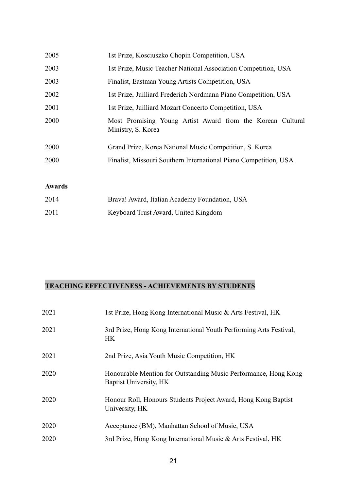| 2005          | 1st Prize, Kosciuszko Chopin Competition, USA                                    |  |
|---------------|----------------------------------------------------------------------------------|--|
| 2003          | 1st Prize, Music Teacher National Association Competition, USA                   |  |
| 2003          | Finalist, Eastman Young Artists Competition, USA                                 |  |
| 2002          | 1st Prize, Juilliard Frederich Nordmann Piano Competition, USA                   |  |
| 2001          | 1st Prize, Juilliard Mozart Concerto Competition, USA                            |  |
| 2000          | Most Promising Young Artist Award from the Korean Cultural<br>Ministry, S. Korea |  |
| 2000          | Grand Prize, Korea National Music Competition, S. Korea                          |  |
| 2000          | Finalist, Missouri Southern International Piano Competition, USA                 |  |
| <b>Awards</b> |                                                                                  |  |
| 2014          | Brava! Award, Italian Academy Foundation, USA                                    |  |

| 2011 | Keyboard Trust Award, United Kingdom |  |
|------|--------------------------------------|--|
|      |                                      |  |

# **TEACHING EFFECTIVENESS - ACHIEVEMENTS BY STUDENTS**

| 2021 | 1st Prize, Hong Kong International Music & Arts Festival, HK                                     |
|------|--------------------------------------------------------------------------------------------------|
| 2021 | 3rd Prize, Hong Kong International Youth Performing Arts Festival,<br><b>HK</b>                  |
| 2021 | 2nd Prize, Asia Youth Music Competition, HK                                                      |
| 2020 | Honourable Mention for Outstanding Music Performance, Hong Kong<br><b>Baptist University, HK</b> |
| 2020 | Honour Roll, Honours Students Project Award, Hong Kong Baptist<br>University, HK                 |
| 2020 | Acceptance (BM), Manhattan School of Music, USA                                                  |
| 2020 | 3rd Prize, Hong Kong International Music & Arts Festival, HK                                     |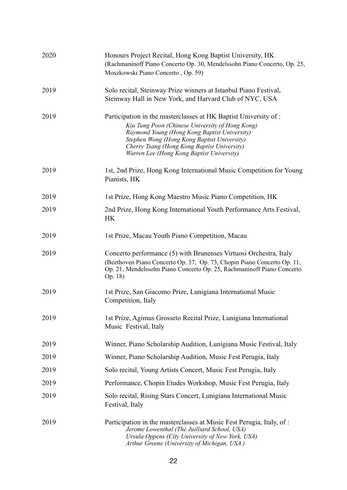| 2020 | Honours Project Recital, Hong Kong Baptist University, HK<br>(Rachmaninoff Piano Concerto Op. 30, Mendelssohn Piano Concerto, Op. 25,<br>Moszkowski Piano Concerto, Op. 59)                                                                                                                                    |
|------|----------------------------------------------------------------------------------------------------------------------------------------------------------------------------------------------------------------------------------------------------------------------------------------------------------------|
| 2019 | Solo recital, Steinway Prize winners at Istanbul Piano Festival,<br>Steinway Hall in New York, and Harvard Club of NYC, USA                                                                                                                                                                                    |
| 2019 | Participation in the masterclasses at HK Baptist University of :<br>Kiu Tung Poon (Chinese University of Hong Kong)<br>Raymond Young (Hong Kong Baptist University)<br>Stephen Wong (Hong Kong Baptist University)<br>Cherry Tsang (Hong Kong Baptist University)<br>Warren Lee (Hong Kong Baptist University) |
| 2019 | 1st, 2nd Prize, Hong Kong International Music Competition for Young<br>Pianists, HK                                                                                                                                                                                                                            |
| 2019 | 1st Prize, Hong Kong Maestro Music Piano Competition, HK                                                                                                                                                                                                                                                       |
| 2019 | 2nd Prize, Hong Kong International Youth Performance Arts Festival,<br><b>HK</b>                                                                                                                                                                                                                               |
| 2019 | 1st Prize, Macau Youth Piano Competition, Macau                                                                                                                                                                                                                                                                |
| 2019 | Concerto performance (5) with Brunenses Virtuosi Orchestra, Italy<br>(Beethoven Piano Concerto Op. 37, Op. 73, Chopin Piano Concerto Op. 11,<br>Op. 21, Mendelssohn Piano Concerto Op. 25, Rachmaninoff Piano Concerto<br>Op. 18)                                                                              |
| 2019 | 1st Prize, San Giacomo Prize, Lunigiana International Music<br>Competition, Italy                                                                                                                                                                                                                              |
| 2019 | 1st Prize, Agimus Grosseto Recital Prize, Lunigiana International<br>Music Festival, Italy                                                                                                                                                                                                                     |
| 2019 | Winner, Piano Scholarship Audition, Lunigiana Music Festival, Italy                                                                                                                                                                                                                                            |
| 2019 | Winner, Piano Scholarship Audition, Music Fest Perugia, Italy                                                                                                                                                                                                                                                  |
| 2019 | Solo recital, Young Artists Concert, Music Fest Perugia, Italy                                                                                                                                                                                                                                                 |
| 2019 | Performance, Chopin Etudes Workshop, Music Fest Perugia, Italy                                                                                                                                                                                                                                                 |
| 2019 | Solo recital, Rising Stars Concert, Lunigiana International Music<br>Festival, Italy                                                                                                                                                                                                                           |
| 2019 | Participation in the masterclasses at Music Fest Perugia, Italy, of :<br>Jerome Lowenthal (The Juilliard School, USA)<br>Ursula Oppens (City University of New York, USA)<br>Arthur Greene (University of Michigan, USA)                                                                                       |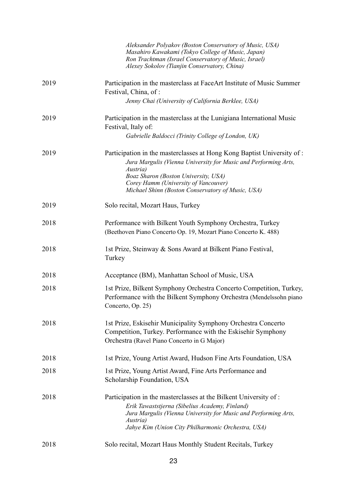|      | Aleksander Polyakov (Boston Conservatory of Music, USA)<br>Masahiro Kawakami (Tokyo College of Music, Japan)<br>Ron Trachtman (Israel Conservatory of Music, Israel)<br>Alexey Sokolov (Tianjin Conservatory, China)                                      |
|------|-----------------------------------------------------------------------------------------------------------------------------------------------------------------------------------------------------------------------------------------------------------|
| 2019 | Participation in the master class at Face Art Institute of Music Summer<br>Festival, China, of:                                                                                                                                                           |
|      | Jenny Chai (University of California Berklee, USA)                                                                                                                                                                                                        |
| 2019 | Participation in the masterclass at the Lunigiana International Music<br>Festival, Italy of:                                                                                                                                                              |
|      | Gabrielle Baldocci (Trinity College of London, UK)                                                                                                                                                                                                        |
| 2019 | Participation in the master classes at Hong Kong Baptist University of :<br>Jura Margulis (Vienna University for Music and Performing Arts,<br>Austria)                                                                                                   |
|      | Boaz Sharon (Boston University, USA)<br>Corey Hamm (University of Vancouver)<br>Michael Shinn (Boston Conservatory of Music, USA)                                                                                                                         |
| 2019 | Solo recital, Mozart Haus, Turkey                                                                                                                                                                                                                         |
| 2018 | Performance with Bilkent Youth Symphony Orchestra, Turkey<br>(Beethoven Piano Concerto Op. 19, Mozart Piano Concerto K. 488)                                                                                                                              |
| 2018 | 1st Prize, Steinway & Sons Award at Bilkent Piano Festival,<br>Turkey                                                                                                                                                                                     |
| 2018 | Acceptance (BM), Manhattan School of Music, USA                                                                                                                                                                                                           |
| 2018 | 1st Prize, Bilkent Symphony Orchestra Concerto Competition, Turkey,<br>Performance with the Bilkent Symphony Orchestra (Mendelssohn piano<br>Concerto, Op. 25)                                                                                            |
| 2018 | 1st Prize, Eskisehir Municipality Symphony Orchestra Concerto<br>Competition, Turkey. Performance with the Eskisehir Symphony<br>Orchestra (Ravel Piano Concerto in G Major)                                                                              |
| 2018 | 1st Prize, Young Artist Award, Hudson Fine Arts Foundation, USA                                                                                                                                                                                           |
| 2018 | 1st Prize, Young Artist Award, Fine Arts Performance and<br>Scholarship Foundation, USA                                                                                                                                                                   |
| 2018 | Participation in the master classes at the Bilkent University of :<br>Erik Tawaststjerna (Sibelius Academy, Finland)<br>Jura Margulis (Vienna University for Music and Performing Arts,<br>Austria)<br>Jahye Kim (Union City Philharmonic Orchestra, USA) |
| 2018 | Solo recital, Mozart Haus Monthly Student Recitals, Turkey                                                                                                                                                                                                |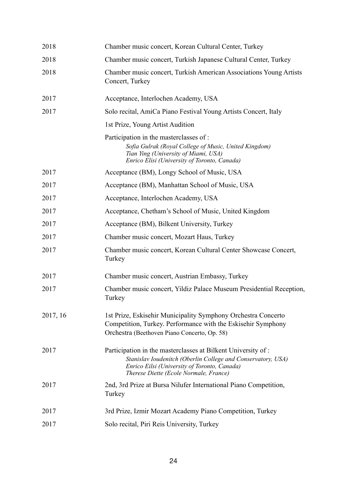| 2018     | Chamber music concert, Korean Cultural Center, Turkey                                                                                                                                                                    |
|----------|--------------------------------------------------------------------------------------------------------------------------------------------------------------------------------------------------------------------------|
| 2018     | Chamber music concert, Turkish Japanese Cultural Center, Turkey                                                                                                                                                          |
| 2018     | Chamber music concert, Turkish American Associations Young Artists<br>Concert, Turkey                                                                                                                                    |
| 2017     | Acceptance, Interlochen Academy, USA                                                                                                                                                                                     |
| 2017     | Solo recital, AmiCa Piano Festival Young Artists Concert, Italy                                                                                                                                                          |
|          | 1st Prize, Young Artist Audition                                                                                                                                                                                         |
|          | Participation in the masterclasses of :<br>Sofia Gulrak (Royal College of Music, United Kingdom)<br>Tian Ying (University of Miami, USA)<br>Enrico Elisi (University of Toronto, Canada)                                 |
| 2017     | Acceptance (BM), Longy School of Music, USA                                                                                                                                                                              |
| 2017     | Acceptance (BM), Manhattan School of Music, USA                                                                                                                                                                          |
| 2017     | Acceptance, Interlochen Academy, USA                                                                                                                                                                                     |
| 2017     | Acceptance, Chetham's School of Music, United Kingdom                                                                                                                                                                    |
| 2017     | Acceptance (BM), Bilkent University, Turkey                                                                                                                                                                              |
| 2017     | Chamber music concert, Mozart Haus, Turkey                                                                                                                                                                               |
| 2017     | Chamber music concert, Korean Cultural Center Showcase Concert,<br>Turkey                                                                                                                                                |
| 2017     | Chamber music concert, Austrian Embassy, Turkey                                                                                                                                                                          |
| 2017     | Chamber music concert, Yildiz Palace Museum Presidential Reception,<br>Turkey                                                                                                                                            |
| 2017, 16 | 1st Prize, Eskisehir Municipality Symphony Orchestra Concerto<br>Competition, Turkey. Performance with the Eskisehir Symphony<br>Orchestra (Beethoven Piano Concerto, Op. 58)                                            |
| 2017     | Participation in the master classes at Bilkent University of :<br>Stanislav Ioudenitch (Oberlin College and Conservatory, USA)<br>Enrico Eilsi (University of Toronto, Canada)<br>Therese Diette (Ecole Normale, France) |
| 2017     | 2nd, 3rd Prize at Bursa Nilufer International Piano Competition,<br>Turkey                                                                                                                                               |
| 2017     | 3rd Prize, Izmir Mozart Academy Piano Competition, Turkey                                                                                                                                                                |
| 2017     | Solo recital, Piri Reis University, Turkey                                                                                                                                                                               |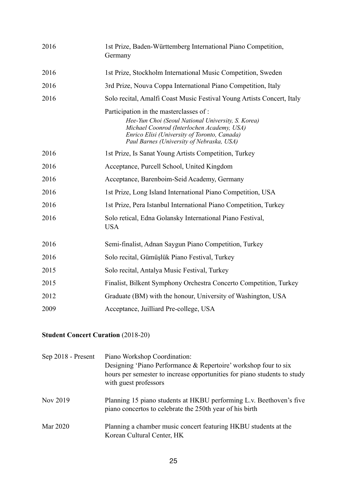| 2016 | 1st Prize, Baden-Württemberg International Piano Competition,<br>Germany                                                                                                                                                                 |
|------|------------------------------------------------------------------------------------------------------------------------------------------------------------------------------------------------------------------------------------------|
| 2016 | 1st Prize, Stockholm International Music Competition, Sweden                                                                                                                                                                             |
| 2016 | 3rd Prize, Nouva Coppa International Piano Competition, Italy                                                                                                                                                                            |
| 2016 | Solo recital, Amalfi Coast Music Festival Young Artists Concert, Italy                                                                                                                                                                   |
|      | Participation in the masterclasses of :<br>Hee-Yun Choi (Seoul National University, S. Korea)<br>Michael Coonrod (Interlochen Academy, USA)<br>Enrico Elisi (University of Toronto, Canada)<br>Paul Barnes (University of Nebraska, USA) |
| 2016 | 1st Prize, Is Sanat Young Artists Competition, Turkey                                                                                                                                                                                    |
| 2016 | Acceptance, Purcell School, United Kingdom                                                                                                                                                                                               |
| 2016 | Acceptance, Barenboim-Seid Academy, Germany                                                                                                                                                                                              |
| 2016 | 1st Prize, Long Island International Piano Competition, USA                                                                                                                                                                              |
| 2016 | 1st Prize, Pera Istanbul International Piano Competition, Turkey                                                                                                                                                                         |
| 2016 | Solo retical, Edna Golansky International Piano Festival,<br><b>USA</b>                                                                                                                                                                  |
| 2016 | Semi-finalist, Adnan Saygun Piano Competition, Turkey                                                                                                                                                                                    |
| 2016 | Solo recital, Gümüşlük Piano Festival, Turkey                                                                                                                                                                                            |
| 2015 | Solo recital, Antalya Music Festival, Turkey                                                                                                                                                                                             |
| 2015 | Finalist, Bilkent Symphony Orchestra Concerto Competition, Turkey                                                                                                                                                                        |
| 2012 | Graduate (BM) with the honour, University of Washington, USA                                                                                                                                                                             |
| 2009 | Acceptance, Juilliard Pre-college, USA                                                                                                                                                                                                   |

# **Student Concert Curation** (2018-20)

| Sep 2018 - Present | Piano Workshop Coordination:<br>Designing 'Piano Performance & Repertoire' workshop four to six<br>hours per semester to increase opportunities for piano students to study<br>with guest professors |
|--------------------|------------------------------------------------------------------------------------------------------------------------------------------------------------------------------------------------------|
| Nov 2019           | Planning 15 piano students at HKBU performing L.v. Beethoven's five<br>piano concertos to celebrate the 250th year of his birth                                                                      |
| Mar 2020           | Planning a chamber music concert featuring HKBU students at the<br>Korean Cultural Center, HK                                                                                                        |